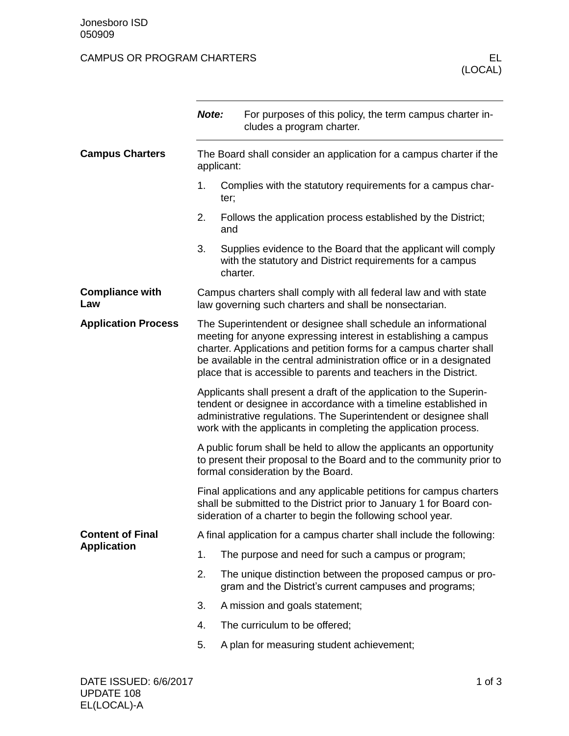## CAMPUS OR PROGRAM CHARTERS ELECTED AND THE RELECTED ASSESSMENT OF THE RELECTED ASSESSMENT OF THE RELECTED AND THE RELECTED ASSESSMENT OF THE RELECTED AND THE RELECTED ASSESSMENT OF THE RELECTED AND THE RELECTED ASSESSMENT

|                                               | Note:                                                                                                                                                                                                                                                                                                                                                 |          | For purposes of this policy, the term campus charter in-<br>cludes a program charter.                                      |  |  |
|-----------------------------------------------|-------------------------------------------------------------------------------------------------------------------------------------------------------------------------------------------------------------------------------------------------------------------------------------------------------------------------------------------------------|----------|----------------------------------------------------------------------------------------------------------------------------|--|--|
| <b>Campus Charters</b>                        | The Board shall consider an application for a campus charter if the<br>applicant:                                                                                                                                                                                                                                                                     |          |                                                                                                                            |  |  |
|                                               | 1.                                                                                                                                                                                                                                                                                                                                                    | ter;     | Complies with the statutory requirements for a campus char-                                                                |  |  |
|                                               | 2.                                                                                                                                                                                                                                                                                                                                                    | and      | Follows the application process established by the District;                                                               |  |  |
|                                               | 3.                                                                                                                                                                                                                                                                                                                                                    | charter. | Supplies evidence to the Board that the applicant will comply<br>with the statutory and District requirements for a campus |  |  |
| <b>Compliance with</b><br>Law                 | Campus charters shall comply with all federal law and with state<br>law governing such charters and shall be nonsectarian.                                                                                                                                                                                                                            |          |                                                                                                                            |  |  |
| <b>Application Process</b>                    | The Superintendent or designee shall schedule an informational<br>meeting for anyone expressing interest in establishing a campus<br>charter. Applications and petition forms for a campus charter shall<br>be available in the central administration office or in a designated<br>place that is accessible to parents and teachers in the District. |          |                                                                                                                            |  |  |
|                                               | Applicants shall present a draft of the application to the Superin-<br>tendent or designee in accordance with a timeline established in<br>administrative regulations. The Superintendent or designee shall<br>work with the applicants in completing the application process.                                                                        |          |                                                                                                                            |  |  |
|                                               | A public forum shall be held to allow the applicants an opportunity<br>to present their proposal to the Board and to the community prior to<br>formal consideration by the Board.                                                                                                                                                                     |          |                                                                                                                            |  |  |
|                                               | Final applications and any applicable petitions for campus charters<br>shall be submitted to the District prior to January 1 for Board con-<br>sideration of a charter to begin the following school year.                                                                                                                                            |          |                                                                                                                            |  |  |
| <b>Content of Final</b><br><b>Application</b> | A final application for a campus charter shall include the following:                                                                                                                                                                                                                                                                                 |          |                                                                                                                            |  |  |
|                                               | 1.                                                                                                                                                                                                                                                                                                                                                    |          | The purpose and need for such a campus or program;                                                                         |  |  |
|                                               | 2.                                                                                                                                                                                                                                                                                                                                                    |          | The unique distinction between the proposed campus or pro-<br>gram and the District's current campuses and programs;       |  |  |
|                                               | 3.                                                                                                                                                                                                                                                                                                                                                    |          | A mission and goals statement;                                                                                             |  |  |
|                                               | 4.                                                                                                                                                                                                                                                                                                                                                    |          | The curriculum to be offered;                                                                                              |  |  |
|                                               | 5.                                                                                                                                                                                                                                                                                                                                                    |          | A plan for measuring student achievement;                                                                                  |  |  |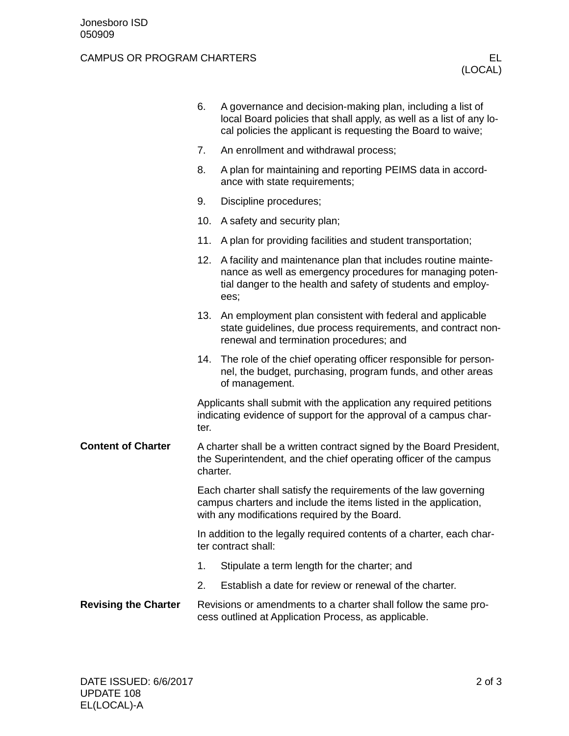## CAMPUS OR PROGRAM CHARTERS ELECTED AND THE RELECTED ASSESSMENT OF THE RELECTED ASSESSMENT OF THE RELECTED AND THE RELECTED ASSESSMENT OF THE RELECTED AND THE RELECTED ASSESSMENT OF THE RELECTED AND THE RELECTED ASSESSMENT

|                             | 6.                                                                                                                                                                                    | A governance and decision-making plan, including a list of<br>local Board policies that shall apply, as well as a list of any lo-<br>cal policies the applicant is requesting the Board to waive;  |  |  |
|-----------------------------|---------------------------------------------------------------------------------------------------------------------------------------------------------------------------------------|----------------------------------------------------------------------------------------------------------------------------------------------------------------------------------------------------|--|--|
|                             | 7.                                                                                                                                                                                    | An enrollment and withdrawal process;                                                                                                                                                              |  |  |
|                             | 8.                                                                                                                                                                                    | A plan for maintaining and reporting PEIMS data in accord-<br>ance with state requirements;                                                                                                        |  |  |
|                             | 9.                                                                                                                                                                                    | Discipline procedures;                                                                                                                                                                             |  |  |
|                             | 10.                                                                                                                                                                                   | A safety and security plan;                                                                                                                                                                        |  |  |
|                             | 11.                                                                                                                                                                                   | A plan for providing facilities and student transportation;                                                                                                                                        |  |  |
|                             | 12.                                                                                                                                                                                   | A facility and maintenance plan that includes routine mainte-<br>nance as well as emergency procedures for managing poten-<br>tial danger to the health and safety of students and employ-<br>ees; |  |  |
|                             | 13.                                                                                                                                                                                   | An employment plan consistent with federal and applicable<br>state guidelines, due process requirements, and contract non-<br>renewal and termination procedures; and                              |  |  |
|                             |                                                                                                                                                                                       | 14. The role of the chief operating officer responsible for person-<br>nel, the budget, purchasing, program funds, and other areas<br>of management.                                               |  |  |
|                             | Applicants shall submit with the application any required petitions<br>indicating evidence of support for the approval of a campus char-<br>ter.                                      |                                                                                                                                                                                                    |  |  |
| <b>Content of Charter</b>   | A charter shall be a written contract signed by the Board President,<br>the Superintendent, and the chief operating officer of the campus<br>charter.                                 |                                                                                                                                                                                                    |  |  |
|                             | Each charter shall satisfy the requirements of the law governing<br>campus charters and include the items listed in the application,<br>with any modifications required by the Board. |                                                                                                                                                                                                    |  |  |
|                             | In addition to the legally required contents of a charter, each char-<br>ter contract shall:                                                                                          |                                                                                                                                                                                                    |  |  |
|                             | 1.                                                                                                                                                                                    | Stipulate a term length for the charter; and                                                                                                                                                       |  |  |
|                             | 2.                                                                                                                                                                                    | Establish a date for review or renewal of the charter.                                                                                                                                             |  |  |
| <b>Revising the Charter</b> | Revisions or amendments to a charter shall follow the same pro-<br>cess outlined at Application Process, as applicable.                                                               |                                                                                                                                                                                                    |  |  |